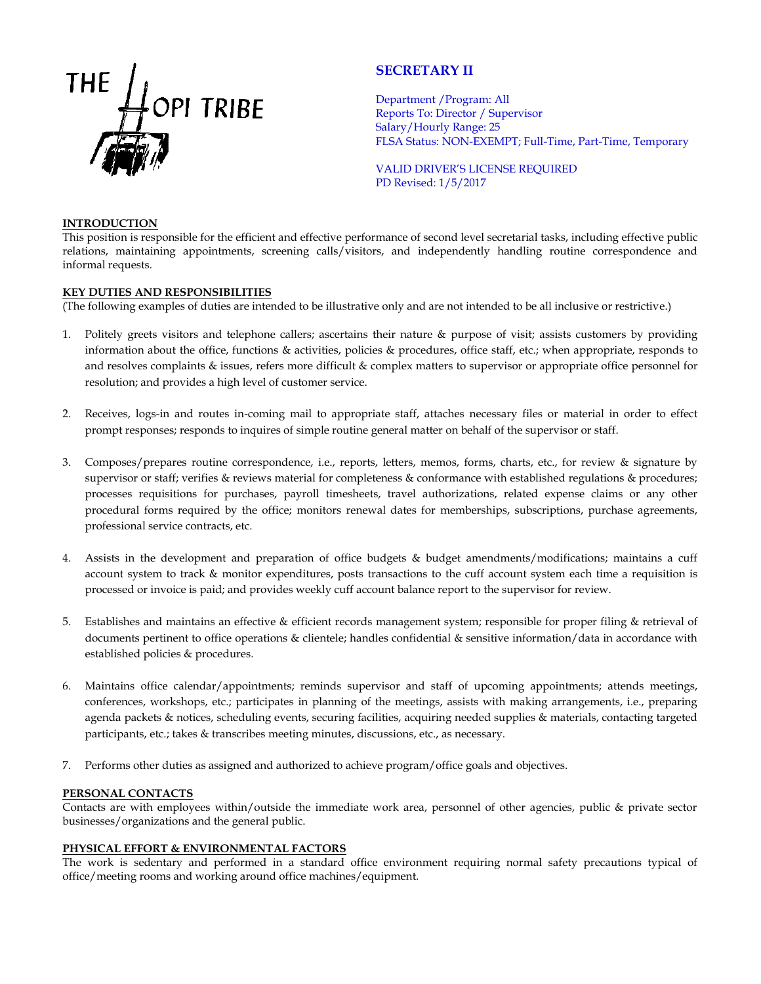

# **SECRETARY II**

Department /Program: All Reports To: Director / Supervisor Salary/Hourly Range: 25 FLSA Status: NON-EXEMPT; Full-Time, Part-Time, Temporary

VALID DRIVER'S LICENSE REQUIRED PD Revised: 1/5/2017

### **INTRODUCTION**

This position is responsible for the efficient and effective performance of second level secretarial tasks, including effective public relations, maintaining appointments, screening calls/visitors, and independently handling routine correspondence and informal requests.

## **KEY DUTIES AND RESPONSIBILITIES**

(The following examples of duties are intended to be illustrative only and are not intended to be all inclusive or restrictive.)

- 1. Politely greets visitors and telephone callers; ascertains their nature & purpose of visit; assists customers by providing information about the office, functions & activities, policies & procedures, office staff, etc.; when appropriate, responds to and resolves complaints & issues, refers more difficult & complex matters to supervisor or appropriate office personnel for resolution; and provides a high level of customer service.
- 2. Receives, logs-in and routes in-coming mail to appropriate staff, attaches necessary files or material in order to effect prompt responses; responds to inquires of simple routine general matter on behalf of the supervisor or staff.
- 3. Composes/prepares routine correspondence, i.e., reports, letters, memos, forms, charts, etc., for review & signature by supervisor or staff; verifies & reviews material for completeness & conformance with established regulations & procedures; processes requisitions for purchases, payroll timesheets, travel authorizations, related expense claims or any other procedural forms required by the office; monitors renewal dates for memberships, subscriptions, purchase agreements, professional service contracts, etc.
- 4. Assists in the development and preparation of office budgets & budget amendments/modifications; maintains a cuff account system to track & monitor expenditures, posts transactions to the cuff account system each time a requisition is processed or invoice is paid; and provides weekly cuff account balance report to the supervisor for review.
- 5. Establishes and maintains an effective & efficient records management system; responsible for proper filing & retrieval of documents pertinent to office operations & clientele; handles confidential & sensitive information/data in accordance with established policies & procedures.
- 6. Maintains office calendar/appointments; reminds supervisor and staff of upcoming appointments; attends meetings, conferences, workshops, etc.; participates in planning of the meetings, assists with making arrangements, i.e., preparing agenda packets & notices, scheduling events, securing facilities, acquiring needed supplies & materials, contacting targeted participants, etc.; takes & transcribes meeting minutes, discussions, etc., as necessary.
- 7. Performs other duties as assigned and authorized to achieve program/office goals and objectives.

### **PERSONAL CONTACTS**

Contacts are with employees within/outside the immediate work area, personnel of other agencies, public & private sector businesses/organizations and the general public.

### **PHYSICAL EFFORT & ENVIRONMENTAL FACTORS**

The work is sedentary and performed in a standard office environment requiring normal safety precautions typical of office/meeting rooms and working around office machines/equipment.